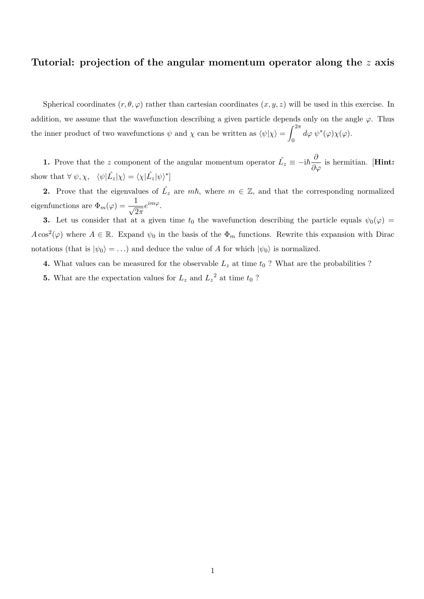## **Tutorial: projection of the angular momentum operator along the** *z* **axis**

Spherical coordinates  $(r, \theta, \varphi)$  rather than cartesian coordinates  $(x, y, z)$  will be used in this exercise. In addition, we assume that the wavefunction describing a given particle depends only on the angle  $\varphi$ . Thus the inner product of two wavefunctions  $\psi$  and  $\chi$  can be written as  $\langle \psi | \chi \rangle =$  $\int_0^{2\pi}$  $\int\limits_{0}^{1}d\varphi\;\psi^{*}(\varphi)\chi(\varphi).$ 

**1.** Prove that the *z* component of the angular momentum operator  $\hat{L_z} \equiv -i\hbar \frac{\partial}{\partial \varphi}$  is hermitian. [Hint: show that  $\forall \psi, \chi, \quad \langle \psi | \hat{L_z} | \chi \rangle = \langle \chi | \hat{L_z} | \psi \rangle^*$ 

**2.** Prove that the eigenvalues of  $\hat{L_z}$  are  $m\hbar$ , where  $m \in \mathbb{Z}$ , and that the corresponding normalized eigenfunctions are  $\Phi_m(\varphi) = \frac{1}{\sqrt{2\pi}} e^{im\varphi}$ .

**3.** Let us consider that at a given time  $t_0$  the wavefunction describing the particle equals  $\psi_0(\varphi)$  =  $A\cos^2(\varphi)$  where  $A \in \mathbb{R}$ . Expand  $\psi_0$  in the basis of the  $\Phi_m$  functions. Rewrite this expansion with Dirac notations (that is  $|\psi_0\rangle = ...$ ) and deduce the value of *A* for which  $|\psi_0\rangle$  is normalized.

**4.** What values can be measured for the observable  $L_z$  at time  $t_0$  ? What are the probabilities ?

**5.** What are the expectation values for  $L_z$  and  $L_z^2$  at time  $t_0$ ?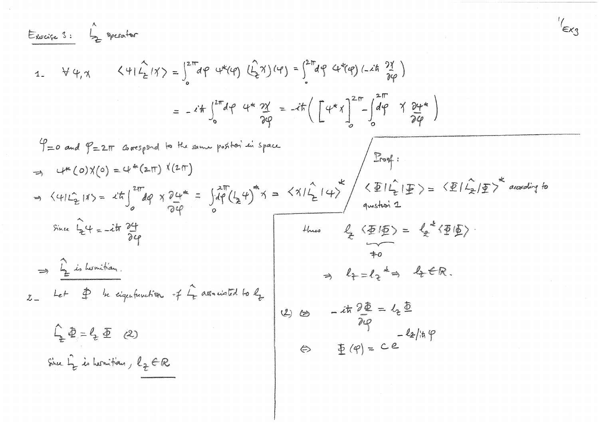Example 3:

\n
$$
\int_{\frac{\pi}{2}}^{\frac{\pi}{2}} \rho_{\text{total}} \, d\mathbf{r}
$$
\n
$$
1. \quad \forall \psi, \chi \quad \langle \psi | \hat{f}_{\mathbf{z}} | \chi \rangle = \int_{0}^{2\pi} d\mathbf{r} \, d\mathbf{r} \langle \psi \rangle \, (d\mathbf{r}) = \int_{0}^{2\pi} d\mathbf{r} \, d\mathbf{r} \langle \psi \rangle \, (d\mathbf{r}) = \int_{0}^{2\pi} d\mathbf{r} \, d\mathbf{r} \langle \psi \rangle \, (d\mathbf{r})
$$
\n
$$
= -i \frac{\hbar}{6} \int_{0}^{2\pi} d\mathbf{r} \, d\mathbf{r} \langle \psi \rangle \, (d\mathbf{r})
$$
\n
$$
= -i \frac{\hbar}{6} \int_{0}^{2\pi} d\mathbf{r} \, d\mathbf{r} \langle \psi \rangle \, (d\mathbf{r})
$$
\n
$$
\int_{0}^{2\pi} d\mathbf{r} \, d\mathbf{r} \langle \psi \rangle \, (d\mathbf{r})
$$
\n
$$
\Rightarrow \int_{0}^{2\pi} (d\mathbf{r}) \, d\mathbf{r} \langle \psi \rangle \, (d\mathbf{r})
$$
\n
$$
\Rightarrow \int_{0}^{2\pi} (d\mathbf{r}) \, d\mathbf{r} \langle \psi \rangle \, (d\mathbf{r})
$$
\n
$$
\Rightarrow \int_{0}^{2\pi} (d\mathbf{r}) \, d\mathbf{r} \langle \psi \rangle \, (d\mathbf{r})
$$
\n
$$
\Rightarrow \int_{0}^{2\pi} (d\mathbf{r}) \, d\mathbf{r} \langle \psi \rangle \, (d\mathbf{r})
$$
\n
$$
\Rightarrow \int_{0}^{2\pi} (d\mathbf{r}) \, d\mathbf{r} \langle \psi \rangle \, (d\mathbf{r})
$$
\n
$$
\Rightarrow \int_{0}^{2\pi} (d\mathbf{r}) \, d\mathbf{r} \langle \psi \rangle \, (d\mathbf{r})
$$
\n
$$
\Rightarrow \int_{0}^{2\pi} (d\mathbf{r}) \, d\mathbf{r} \langle \psi \
$$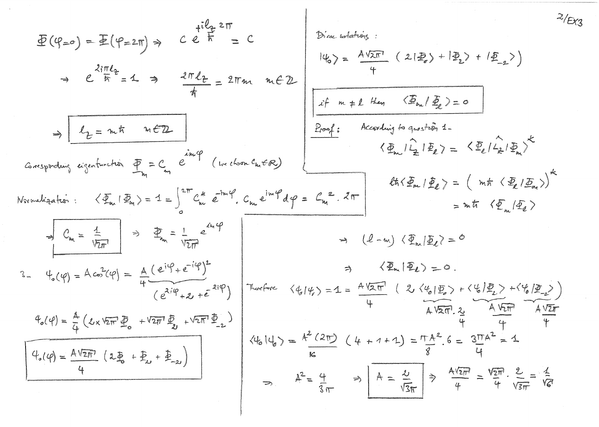$$
\begin{array}{lll}\n\mathcal{L}(\varphi_{\mu\sigma}) &= \mathbb{E}(\varphi_{\mu\pi\sigma}) &= \mathbb{E}(\varphi_{\mu\pi\pi}) &= \mathbb{E}(\varphi_{\mu\pi\pi}) &= \mathbb{E}(\varphi_{\mu\pi\pi}) &= \mathbb{E}(\varphi_{\mu\pi\pi}) &= \mathbb{E}(\varphi_{\mu\pi\pi}) &= \mathbb{E}(\varphi_{\mu\pi\pi}) &= \mathbb{E}(\varphi_{\mu\pi\pi}) &= \mathbb{E}(\varphi_{\mu\pi\pi}) &= \mathbb{E}(\varphi_{\mu\pi\pi}) &= \mathbb{E}(\varphi_{\mu\pi\pi}) &= \mathbb{E}(\varphi_{\mu\pi\pi}) &= \mathbb{E}(\varphi_{\mu\pi\pi}) &= \mathbb{E}(\varphi_{\mu\pi\pi}) &= \mathbb{E}(\varphi_{\mu\pi\pi}) &= \mathbb{E}(\varphi_{\mu\pi\pi}) &= \mathbb{E}(\varphi_{\mu\pi\pi}) &= \mathbb{E}(\varphi_{\mu\pi\pi}) &= \mathbb{E}(\varphi_{\mu\pi\pi}) &= \mathbb{E}(\varphi_{\mu\pi\pi}) &= \mathbb{E}(\varphi_{\mu\pi\pi}) &= \mathbb{E}(\varphi_{\mu\pi\pi}) &= \mathbb{E}(\varphi_{\mu\pi\pi}) &= \mathbb{E}(\varphi_{\mu\pi\pi}) &= \mathbb{E}(\varphi_{\mu\pi\pi}) &= \mathbb{E}(\varphi_{\mu\pi\pi}) &= \mathbb{E}(\varphi_{\mu\pi\pi}) &= \mathbb{E}(\varphi_{\mu\pi\pi}) &= \mathbb{E}(\varphi_{\mu\pi\pi}) &= \mathbb{E}(\varphi_{\mu\pi\pi}) &= \mathbb{E}(\varphi_{\mu\pi\pi}) &= \mathbb{E}(\varphi_{\mu\pi\pi}) &= \mathbb{E}(\varphi_{\mu\pi\pi}) &= \mathbb{E}(\varphi_{\mu\pi\pi}) &= \mathbb{E}(\varphi_{\mu\pi\pi}) &
$$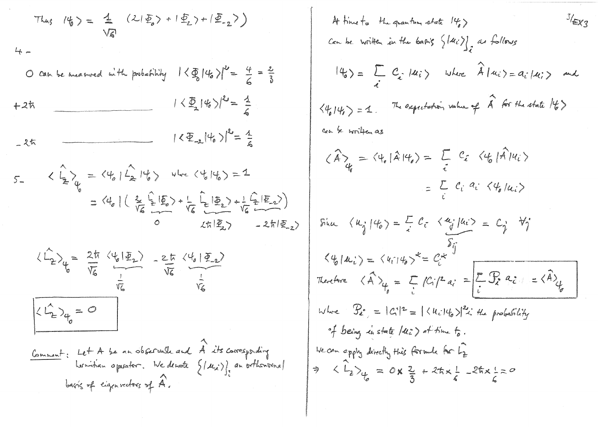Thus 
$$
1\frac{1}{6} = \frac{1}{\sqrt{6}}
$$
  $(21\frac{1}{2} + 1\frac{1}{2}) + 1\frac{1}{2} - 2$ )  
\n $4\pi$   
\n0 can be named with probability  $1 \langle \frac{1}{2} |4\rangle|^2 = \frac{4}{6} = \frac{2}{3}$   
\n+2th  
\n $1 \langle \frac{1}{2} |4\rangle|^2 = \frac{1}{6}$   
\n $-\frac{2\pi}{6}$   
\n $-\frac{2\pi}{6}$   
\n $-\frac{2\pi}{6}$   
\n $-\frac{2\pi}{6}$   
\n $-\frac{2\pi}{6} \langle 4, 1 \rangle^2 = \frac{1}{6}$   
\n $-\frac{2\pi}{6} \langle 4, 1 \rangle^2 = \frac{1}{6}$   
\n $-\frac{2\pi}{6} \langle 4, 1 \rangle^2 = \frac{1}{6}$   
\n $-\frac{2\pi}{6} \langle 4, 1 \rangle^2 = \frac{1}{6}$   
\n $-\frac{1}{6} \langle 4, 1 \rangle^2 = \frac{1}{2} \langle 4, 1 \rangle^2 = \frac{1}{2} \langle 4, 1 \rangle^2 = \frac{1}{2} \langle 4, 1 \rangle^2 = \frac{1}{2} \langle 4, 1 \rangle^2 = \frac{1}{2} \langle 4, 1 \rangle^2 = \frac{1}{2} \langle 4, 1 \rangle^2 = \frac{1}{2} \langle 4, 1 \rangle^2 = \frac{1}{2} \langle 4, 1 \rangle^2 = \frac{1}{2} \langle 4, 1 \rangle^2 = \frac{1}{2} \langle 4, 1 \rangle^2 = \frac{1}{2} \langle 4, 1 \rangle^2 = \frac{1}{2} \langle 4, 1 \rangle^2 = \frac{1}{2} \langle 4, 1 \rangle^2 = \frac{1}{2} \langle 4, 1 \rangle^2 = \frac{1}{2} \langle 4, 1 \rangle^2 = \frac{1}{2} \langle 4, 1 \rangle^2 = \frac{1}{2} \langle 4, 1 \rangle^2 = \frac{1}{2} \langle 4, 1 \rangle^2 = \frac{1}{2} \langle 4, 1 \rangle^2 = \frac{1}{2}$ 

At time to the graphm state 
$$
|H_{e}\rangle
$$
  
\n $Imh =$  which in the family  $\{|u_{i}\rangle$   
\n $|q_{0}\rangle = \sum_{i} C_{i} |u_{i}\rangle$  where  $\hat{A} |u_{i}\rangle = a_{i} |u_{i}\rangle$  and  
\n $\langle\psi_{j}|\psi_{j}\rangle = 1$ . The expectation value of  $\hat{A}$  for the state  $|\psi_{j}\rangle$   
\n $sinh \sim \frac{1}{4} \pi e^{i\phi} \frac{1}{2} \pi i \frac{1}{2} \pi i \frac{1}{2} \pi i \frac{1}{2} \pi i \frac{1}{2} \pi i \frac{1}{2} \pi i \frac{1}{2} \pi i \frac{1}{2} \pi i \frac{1}{2} \pi i \frac{1}{2} \pi i \frac{1}{2} \pi i \frac{1}{2} \pi i \frac{1}{2} \pi i \frac{1}{2} \pi i \frac{1}{2} \pi i \frac{1}{2} \pi i \frac{1}{2} \pi i \frac{1}{2} \pi i \frac{1}{2} \pi i \frac{1}{2} \pi i \frac{1}{2} \pi i \frac{1}{2} \pi i \frac{1}{2} \pi i \frac{1}{2} \pi i \frac{1}{2} \pi i \frac{1}{2} \pi i \frac{1}{2} \pi i \frac{1}{2} \pi i \frac{1}{2} \pi i \frac{1}{2} \pi i \frac{1}{2} \pi i \frac{1}{2} \pi i \frac{1}{2} \pi i \frac{1}{2} \pi i \frac{1}{2} \pi i \frac{1}{2} \pi i \frac{1}{2} \pi i \frac{1}{2} \pi i \frac{1}{2} \pi i \frac{1}{2} \pi i \frac{1}{2} \pi i \frac{1}{2} \pi i \frac{1}{2} \pi i \frac{1}{2} \pi i \frac{1}{2} \pi i \frac{1}{2} \pi i \frac{1}{2} \pi i \frac{1}{2} \pi i \frac{1}{2} \pi i \frac{1}{2} \pi i \frac{1}{2} \pi i \frac{1}{2} \pi i \frac{1}{2} \pi i \frac{1}{2} \pi i \frac{1}{2} \pi i \frac{1}{2} \pi i \frac{1}{2} \pi i \frac{1}{2} \pi i \frac$